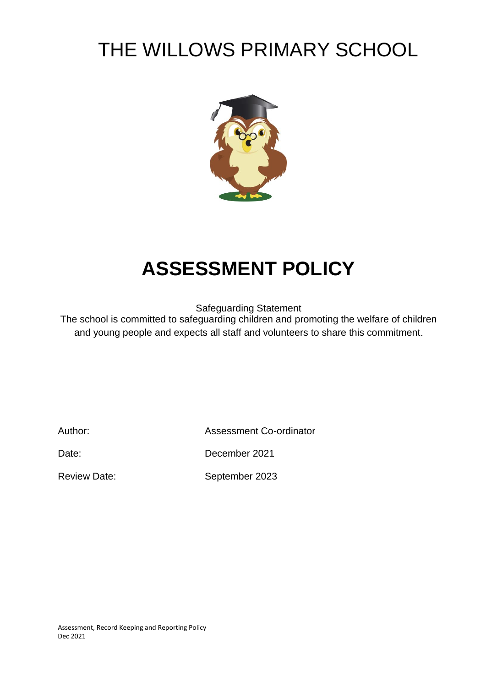# THE WILLOWS PRIMARY SCHOOL



# **ASSESSMENT POLICY**

Safeguarding Statement

The school is committed to safeguarding children and promoting the welfare of children and young people and expects all staff and volunteers to share this commitment.

Author: Assessment Co-ordinator

Date: December 2021

Review Date: September 2023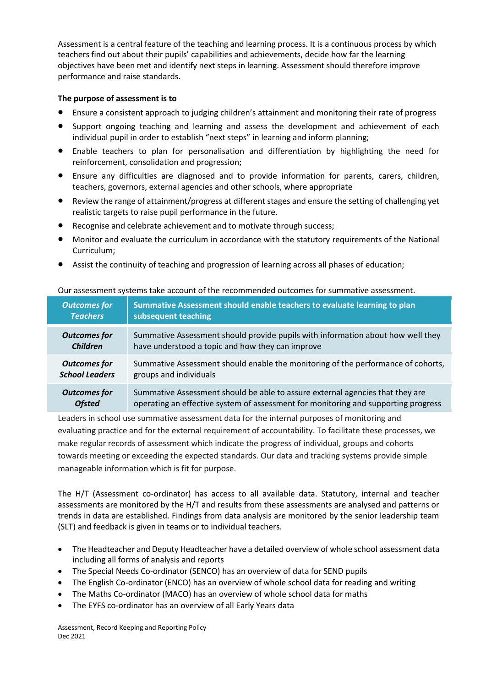Assessment is a central feature of the teaching and learning process. It is a continuous process by which teachers find out about their pupils' capabilities and achievements, decide how far the learning objectives have been met and identify next steps in learning. Assessment should therefore improve performance and raise standards.

# **The purpose of assessment is to**

- Ensure a consistent approach to judging children's attainment and monitoring their rate of progress
- Support ongoing teaching and learning and assess the development and achievement of each individual pupil in order to establish "next steps" in learning and inform planning;
- Enable teachers to plan for personalisation and differentiation by highlighting the need for reinforcement, consolidation and progression;
- Ensure any difficulties are diagnosed and to provide information for parents, carers, children, teachers, governors, external agencies and other schools, where appropriate
- Review the range of attainment/progress at different stages and ensure the setting of challenging yet realistic targets to raise pupil performance in the future.
- Recognise and celebrate achievement and to motivate through success;
- Monitor and evaluate the curriculum in accordance with the statutory requirements of the National Curriculum;
- Assist the continuity of teaching and progression of learning across all phases of education;

| <b>Outcomes for</b>   | Summative Assessment should enable teachers to evaluate learning to plan           |  |
|-----------------------|------------------------------------------------------------------------------------|--|
| <b>Teachers</b>       | subsequent teaching                                                                |  |
| <b>Outcomes for</b>   | Summative Assessment should provide pupils with information about how well they    |  |
| <b>Children</b>       | have understood a topic and how they can improve                                   |  |
| <b>Outcomes for</b>   | Summative Assessment should enable the monitoring of the performance of cohorts,   |  |
| <b>School Leaders</b> | groups and individuals                                                             |  |
| <b>Outcomes for</b>   | Summative Assessment should be able to assure external agencies that they are      |  |
| <b>Ofsted</b>         | operating an effective system of assessment for monitoring and supporting progress |  |

#### Our assessment systems take account of the recommended outcomes for summative assessment.

Leaders in school use summative assessment data for the internal purposes of monitoring and evaluating practice and for the external requirement of accountability. To facilitate these processes, we make regular records of assessment which indicate the progress of individual, groups and cohorts towards meeting or exceeding the expected standards. Our data and tracking systems provide simple manageable information which is fit for purpose.

The H/T (Assessment co-ordinator) has access to all available data. Statutory, internal and teacher assessments are monitored by the H/T and results from these assessments are analysed and patterns or trends in data are established. Findings from data analysis are monitored by the senior leadership team (SLT) and feedback is given in teams or to individual teachers.

- The Headteacher and Deputy Headteacher have a detailed overview of whole school assessment data including all forms of analysis and reports
- The Special Needs Co-ordinator (SENCO) has an overview of data for SEND pupils
- The English Co-ordinator (ENCO) has an overview of whole school data for reading and writing
- The Maths Co-ordinator (MACO) has an overview of whole school data for maths
- The EYFS co-ordinator has an overview of all Early Years data

Assessment, Record Keeping and Reporting Policy Dec 2021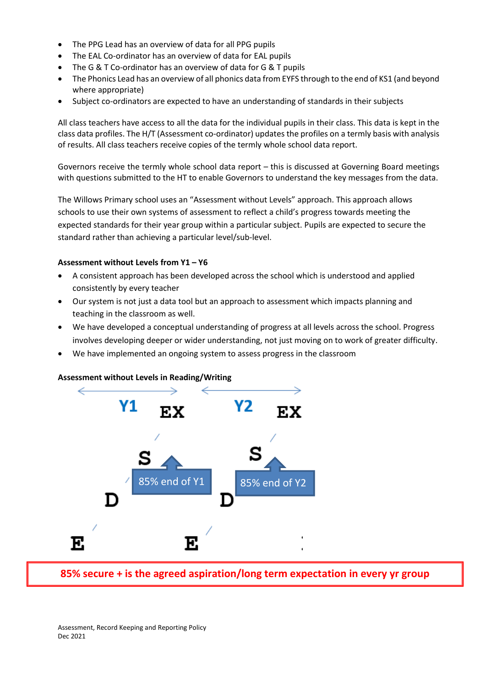- The PPG Lead has an overview of data for all PPG pupils
- The EAL Co-ordinator has an overview of data for EAL pupils
- The G & T Co-ordinator has an overview of data for G & T pupils
- The Phonics Lead has an overview of all phonics data from EYFS through to the end of KS1 (and beyond where appropriate)
- Subject co-ordinators are expected to have an understanding of standards in their subjects

All class teachers have access to all the data for the individual pupils in their class. This data is kept in the class data profiles. The H/T (Assessment co-ordinator) updates the profiles on a termly basis with analysis of results. All class teachers receive copies of the termly whole school data report.

Governors receive the termly whole school data report – this is discussed at Governing Board meetings with questions submitted to the HT to enable Governors to understand the key messages from the data.

The Willows Primary school uses an "Assessment without Levels" approach. This approach allows schools to use their own systems of assessment to reflect a child's progress towards meeting the expected standards for their year group within a particular subject. Pupils are expected to secure the standard rather than achieving a particular level/sub-level.

# **Assessment without Levels from Y1 – Y6**

- A consistent approach has been developed across the school which is understood and applied consistently by every teacher
- Our system is not just a data tool but an approach to assessment which impacts planning and teaching in the classroom as well.
- We have developed a conceptual understanding of progress at all levels across the school. Progress involves developing deeper or wider understanding, not just moving on to work of greater difficulty.
- We have implemented an ongoing system to assess progress in the classroom

#### **Assessment without Levels in Reading/Writing**



**85% secure + is the agreed aspiration/long term expectation in every yr group**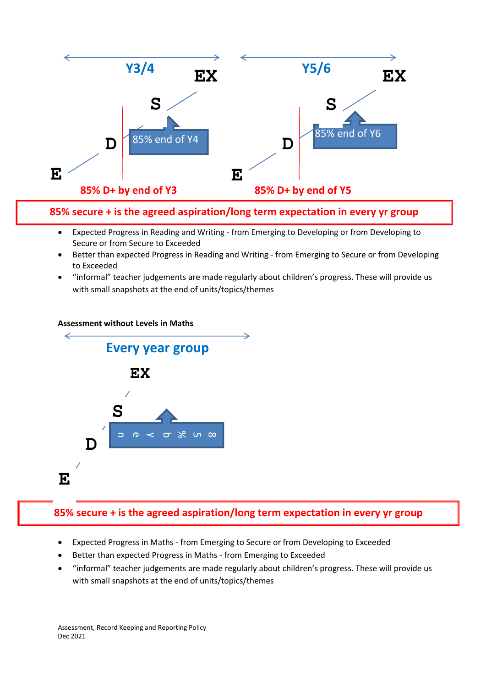

**85% secure + is the agreed aspiration/long term expectation in every yr group**

- Expected Progress in Reading and Writing from Emerging to Developing or from Developing to Secure or from Secure to Exceeded
- Better than expected Progress in Reading and Writing from Emerging to Secure or from Developing to Exceeded
- "informal" teacher judgements are made regularly about children's progress. These will provide us with small snapshots at the end of units/topics/themes



# **85% secure + is the agreed aspiration/long term expectation in every yr group**

- Expected Progress in Maths from Emerging to Secure or from Developing to Exceeded
- Better than expected Progress in Maths from Emerging to Exceeded
- "informal" teacher judgements are made regularly about children's progress. These will provide us with small snapshots at the end of units/topics/themes

Assessment, Record Keeping and Reporting Policy Dec 2021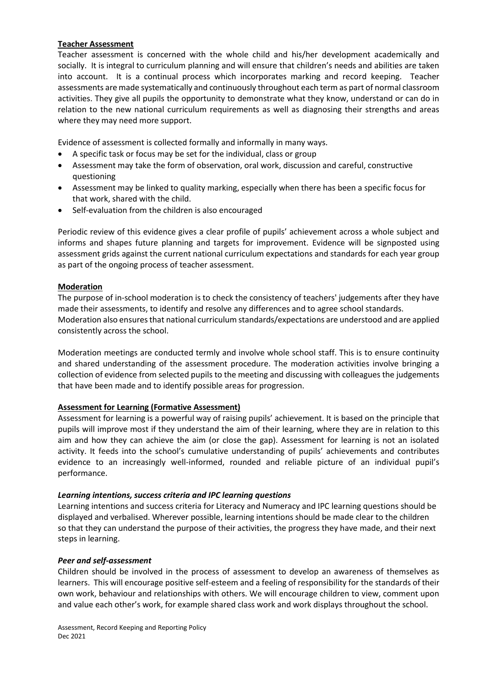### **Teacher Assessment**

Teacher assessment is concerned with the whole child and his/her development academically and socially. It is integral to curriculum planning and will ensure that children's needs and abilities are taken into account. It is a continual process which incorporates marking and record keeping. Teacher assessments are made systematically and continuously throughout each term as part of normal classroom activities. They give all pupils the opportunity to demonstrate what they know, understand or can do in relation to the new national curriculum requirements as well as diagnosing their strengths and areas where they may need more support.

Evidence of assessment is collected formally and informally in many ways.

- A specific task or focus may be set for the individual, class or group
- Assessment may take the form of observation, oral work, discussion and careful, constructive questioning
- Assessment may be linked to quality marking, especially when there has been a specific focus for that work, shared with the child.
- Self-evaluation from the children is also encouraged

Periodic review of this evidence gives a clear profile of pupils' achievement across a whole subject and informs and shapes future planning and targets for improvement. Evidence will be signposted using assessment grids against the current national curriculum expectations and standards for each year group as part of the ongoing process of teacher assessment.

# **Moderation**

The purpose of in-school moderation is to check the consistency of teachers' judgements after they have made their assessments, to identify and resolve any differences and to agree school standards. Moderation also ensuresthat national curriculum standards/expectations are understood and are applied consistently across the school.

Moderation meetings are conducted termly and involve whole school staff. This is to ensure continuity and shared understanding of the assessment procedure. The moderation activities involve bringing a collection of evidence from selected pupils to the meeting and discussing with colleagues the judgements that have been made and to identify possible areas for progression.

# **Assessment for Learning (Formative Assessment)**

Assessment for learning is a powerful way of raising pupils' achievement. It is based on the principle that pupils will improve most if they understand the aim of their learning, where they are in relation to this aim and how they can achieve the aim (or close the gap). Assessment for learning is not an isolated activity. It feeds into the school's cumulative understanding of pupils' achievements and contributes evidence to an increasingly well-informed, rounded and reliable picture of an individual pupil's performance.

#### *Learning intentions, success criteria and IPC learning questions*

Learning intentions and success criteria for Literacy and Numeracy and IPC learning questions should be displayed and verbalised. Wherever possible, learning intentions should be made clear to the children so that they can understand the purpose of their activities, the progress they have made, and their next steps in learning.

#### *Peer and self-assessment*

Children should be involved in the process of assessment to develop an awareness of themselves as learners. This will encourage positive self-esteem and a feeling of responsibility for the standards of their own work, behaviour and relationships with others. We will encourage children to view, comment upon and value each other's work, for example shared class work and work displays throughout the school.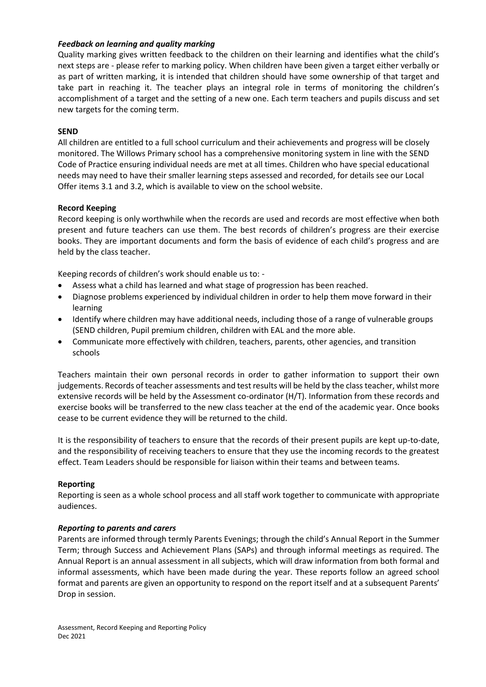### *Feedback on learning and quality marking*

Quality marking gives written feedback to the children on their learning and identifies what the child's next steps are - please refer to marking policy. When children have been given a target either verbally or as part of written marking, it is intended that children should have some ownership of that target and take part in reaching it. The teacher plays an integral role in terms of monitoring the children's accomplishment of a target and the setting of a new one. Each term teachers and pupils discuss and set new targets for the coming term.

### **SEND**

All children are entitled to a full school curriculum and their achievements and progress will be closely monitored. The Willows Primary school has a comprehensive monitoring system in line with the SEND Code of Practice ensuring individual needs are met at all times. Children who have special educational needs may need to have their smaller learning steps assessed and recorded, for details see our Local Offer items 3.1 and 3.2, which is available to view on the school website.

# **Record Keeping**

Record keeping is only worthwhile when the records are used and records are most effective when both present and future teachers can use them. The best records of children's progress are their exercise books. They are important documents and form the basis of evidence of each child's progress and are held by the class teacher.

Keeping records of children's work should enable us to: -

- Assess what a child has learned and what stage of progression has been reached.
- Diagnose problems experienced by individual children in order to help them move forward in their learning
- Identify where children may have additional needs, including those of a range of vulnerable groups (SEND children, Pupil premium children, children with EAL and the more able.
- Communicate more effectively with children, teachers, parents, other agencies, and transition schools

Teachers maintain their own personal records in order to gather information to support their own judgements. Records of teacher assessments and test results will be held by the class teacher, whilst more extensive records will be held by the Assessment co-ordinator (H/T). Information from these records and exercise books will be transferred to the new class teacher at the end of the academic year. Once books cease to be current evidence they will be returned to the child.

It is the responsibility of teachers to ensure that the records of their present pupils are kept up-to-date, and the responsibility of receiving teachers to ensure that they use the incoming records to the greatest effect. Team Leaders should be responsible for liaison within their teams and between teams.

#### **Reporting**

Reporting is seen as a whole school process and all staff work together to communicate with appropriate audiences.

# *Reporting to parents and carers*

Parents are informed through termly Parents Evenings; through the child's Annual Report in the Summer Term; through Success and Achievement Plans (SAPs) and through informal meetings as required. The Annual Report is an annual assessment in all subjects, which will draw information from both formal and informal assessments, which have been made during the year. These reports follow an agreed school format and parents are given an opportunity to respond on the report itself and at a subsequent Parents' Drop in session.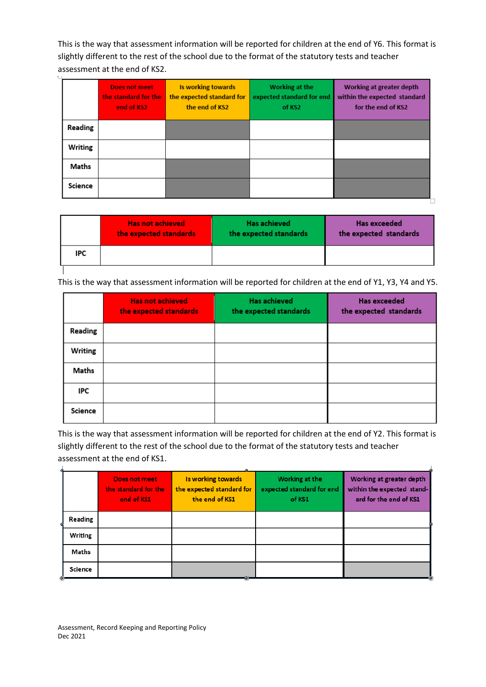This is the way that assessment information will be reported for children at the end of Y6. This format is slightly different to the rest of the school due to the format of the statutory tests and teacher assessment at the end of KS2.

|         | <b>Does not meet</b><br>the standard for the<br>end of KS2 | Is working towards<br>the expected standard for<br>the end of KS2 | Working at the<br>expected standard for end<br>of KS2 | Working at greater depth<br>within the expected standard<br>for the end of KS2 |
|---------|------------------------------------------------------------|-------------------------------------------------------------------|-------------------------------------------------------|--------------------------------------------------------------------------------|
| Reading |                                                            |                                                                   |                                                       |                                                                                |
| Writing |                                                            |                                                                   |                                                       |                                                                                |
| Maths   |                                                            |                                                                   |                                                       |                                                                                |
| Science |                                                            |                                                                   |                                                       |                                                                                |

▚

|     | <b>Has not achieved</b><br>the expected standards | <b>Has achieved</b><br>the expected standards | <b>Has exceeded</b><br>the expected standards |
|-----|---------------------------------------------------|-----------------------------------------------|-----------------------------------------------|
| IPC |                                                   |                                               |                                               |
|     |                                                   |                                               |                                               |

This is the way that assessment information will be reported for children at the end of Y1, Y3, Y4 and Y5.

|         | <b>Has not achieved</b><br>the expected standards | <b>Has achieved</b><br>the expected standards | <b>Has exceeded</b><br>the expected standards |
|---------|---------------------------------------------------|-----------------------------------------------|-----------------------------------------------|
| Reading |                                                   |                                               |                                               |
| Writing |                                                   |                                               |                                               |
| Maths   |                                                   |                                               |                                               |
| IPC     |                                                   |                                               |                                               |
| Science |                                                   |                                               |                                               |

This is the way that assessment information will be reported for children at the end of Y2. This format is slightly different to the rest of the school due to the format of the statutory tests and teacher assessment at the end of KS1. d.

|   |                | <b>Does not meet</b><br>the standard for the<br>end of KS1 | Is working towards<br>the expected standard for<br>the end of KS1 | Working at the<br>expected standard for end<br>of KS1 | Working at greater depth<br>within the expected stand-<br>ard for the end of KS1 |
|---|----------------|------------------------------------------------------------|-------------------------------------------------------------------|-------------------------------------------------------|----------------------------------------------------------------------------------|
|   | <b>Reading</b> |                                                            |                                                                   |                                                       |                                                                                  |
|   | <b>Writing</b> |                                                            |                                                                   |                                                       |                                                                                  |
|   | Maths          |                                                            |                                                                   |                                                       |                                                                                  |
| ◉ | <b>Science</b> |                                                            |                                                                   |                                                       |                                                                                  |